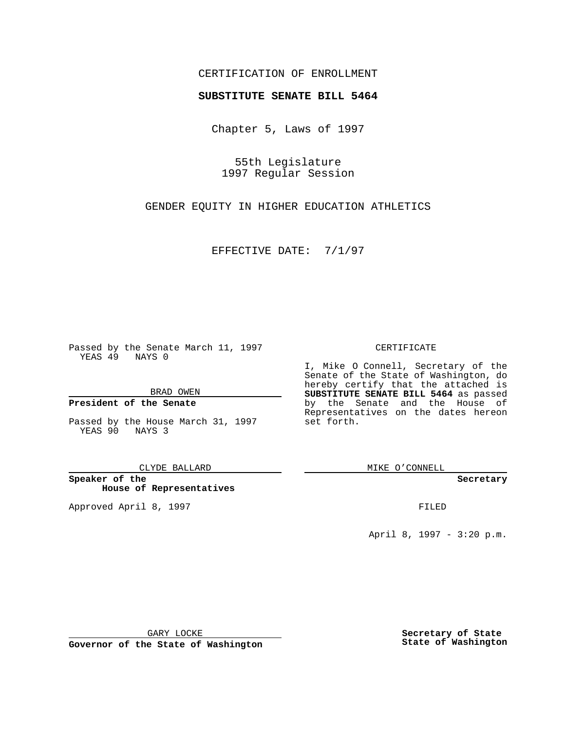### CERTIFICATION OF ENROLLMENT

# **SUBSTITUTE SENATE BILL 5464**

Chapter 5, Laws of 1997

55th Legislature 1997 Regular Session

GENDER EQUITY IN HIGHER EDUCATION ATHLETICS

EFFECTIVE DATE: 7/1/97

Passed by the Senate March 11, 1997 YEAS 49 NAYS 0

BRAD OWEN

### **President of the Senate**

Passed by the House March 31, 1997 YEAS 90 NAYS 3

CLYDE BALLARD

**Speaker of the House of Representatives**

Approved April 8, 1997 **FILED** 

#### CERTIFICATE

I, Mike O Connell, Secretary of the Senate of the State of Washington, do hereby certify that the attached is **SUBSTITUTE SENATE BILL 5464** as passed by the Senate and the House of Representatives on the dates hereon set forth.

MIKE O'CONNELL

#### **Secretary**

April 8, 1997 - 3:20 p.m.

GARY LOCKE

**Governor of the State of Washington**

**Secretary of State State of Washington**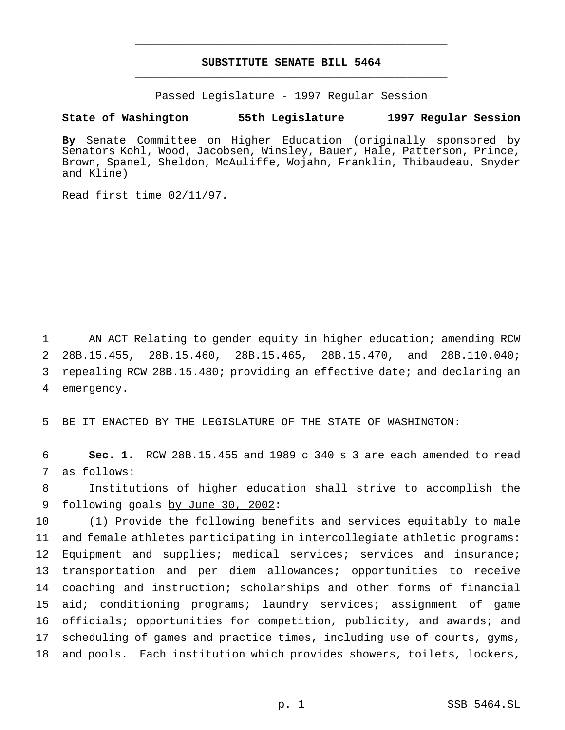## **SUBSTITUTE SENATE BILL 5464** \_\_\_\_\_\_\_\_\_\_\_\_\_\_\_\_\_\_\_\_\_\_\_\_\_\_\_\_\_\_\_\_\_\_\_\_\_\_\_\_\_\_\_\_\_\_\_

\_\_\_\_\_\_\_\_\_\_\_\_\_\_\_\_\_\_\_\_\_\_\_\_\_\_\_\_\_\_\_\_\_\_\_\_\_\_\_\_\_\_\_\_\_\_\_

Passed Legislature - 1997 Regular Session

#### **State of Washington 55th Legislature 1997 Regular Session**

**By** Senate Committee on Higher Education (originally sponsored by Senators Kohl, Wood, Jacobsen, Winsley, Bauer, Hale, Patterson, Prince, Brown, Spanel, Sheldon, McAuliffe, Wojahn, Franklin, Thibaudeau, Snyder and Kline)

Read first time 02/11/97.

 AN ACT Relating to gender equity in higher education; amending RCW 28B.15.455, 28B.15.460, 28B.15.465, 28B.15.470, and 28B.110.040; repealing RCW 28B.15.480; providing an effective date; and declaring an emergency.

5 BE IT ENACTED BY THE LEGISLATURE OF THE STATE OF WASHINGTON:

6 **Sec. 1.** RCW 28B.15.455 and 1989 c 340 s 3 are each amended to read 7 as follows:

8 Institutions of higher education shall strive to accomplish the 9 following goals by June 30, 2002:

 (1) Provide the following benefits and services equitably to male and female athletes participating in intercollegiate athletic programs: 12 Equipment and supplies; medical services; services and insurance; transportation and per diem allowances; opportunities to receive coaching and instruction; scholarships and other forms of financial aid; conditioning programs; laundry services; assignment of game officials; opportunities for competition, publicity, and awards; and scheduling of games and practice times, including use of courts, gyms, and pools. Each institution which provides showers, toilets, lockers,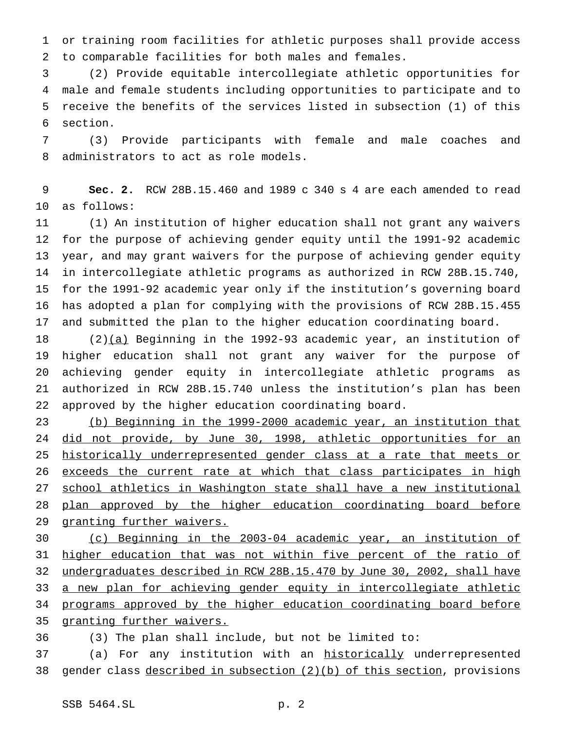or training room facilities for athletic purposes shall provide access to comparable facilities for both males and females.

 (2) Provide equitable intercollegiate athletic opportunities for male and female students including opportunities to participate and to receive the benefits of the services listed in subsection (1) of this section.

 (3) Provide participants with female and male coaches and administrators to act as role models.

 **Sec. 2.** RCW 28B.15.460 and 1989 c 340 s 4 are each amended to read as follows:

 (1) An institution of higher education shall not grant any waivers for the purpose of achieving gender equity until the 1991-92 academic year, and may grant waivers for the purpose of achieving gender equity in intercollegiate athletic programs as authorized in RCW 28B.15.740, for the 1991-92 academic year only if the institution's governing board has adopted a plan for complying with the provisions of RCW 28B.15.455 and submitted the plan to the higher education coordinating board.

18 (2)(a) Beginning in the 1992-93 academic year, an institution of higher education shall not grant any waiver for the purpose of achieving gender equity in intercollegiate athletic programs as authorized in RCW 28B.15.740 unless the institution's plan has been approved by the higher education coordinating board.

 (b) Beginning in the 1999-2000 academic year, an institution that 24 did not provide, by June 30, 1998, athletic opportunities for an 25 historically underrepresented gender class at a rate that meets or 26 exceeds the current rate at which that class participates in high school athletics in Washington state shall have a new institutional 28 plan approved by the higher education coordinating board before 29 granting further waivers.

 (c) Beginning in the 2003-04 academic year, an institution of 31 higher education that was not within five percent of the ratio of undergraduates described in RCW 28B.15.470 by June 30, 2002, shall have 33 a new plan for achieving gender equity in intercollegiate athletic programs approved by the higher education coordinating board before 35 granting further waivers.

(3) The plan shall include, but not be limited to:

37 (a) For any institution with an historically underrepresented gender class described in subsection (2)(b) of this section, provisions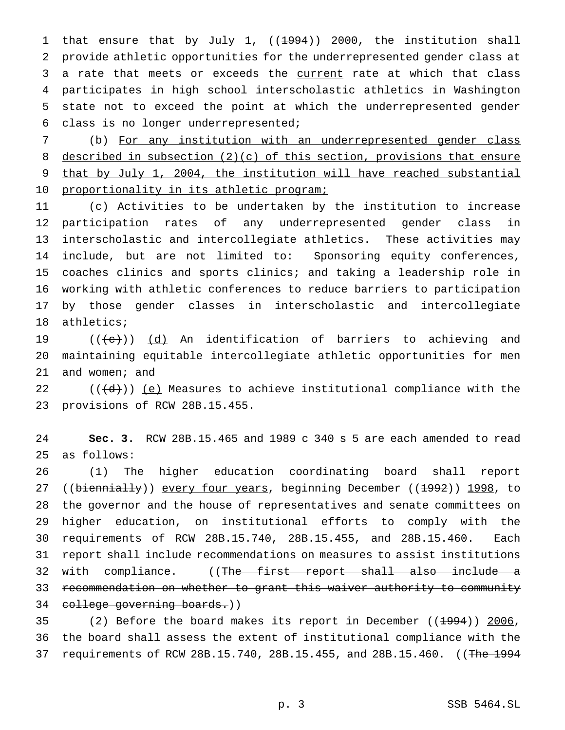1 that ensure that by July 1, ((<del>1994</del>)) 2000, the institution shall provide athletic opportunities for the underrepresented gender class at 3 a rate that meets or exceeds the current rate at which that class participates in high school interscholastic athletics in Washington state not to exceed the point at which the underrepresented gender class is no longer underrepresented;

 (b) For any institution with an underrepresented gender class described in subsection (2)(c) of this section, provisions that ensure that by July 1, 2004, the institution will have reached substantial 10 proportionality in its athletic program;

11 (c) Activities to be undertaken by the institution to increase participation rates of any underrepresented gender class in interscholastic and intercollegiate athletics. These activities may include, but are not limited to: Sponsoring equity conferences, coaches clinics and sports clinics; and taking a leadership role in working with athletic conferences to reduce barriers to participation by those gender classes in interscholastic and intercollegiate athletics;

19  $((+e))$   $(d)$  An identification of barriers to achieving and maintaining equitable intercollegiate athletic opportunities for men and women; and

22 ( $((d))$  <u>(e)</u> Measures to achieve institutional compliance with the provisions of RCW 28B.15.455.

 **Sec. 3.** RCW 28B.15.465 and 1989 c 340 s 5 are each amended to read as follows:

 (1) The higher education coordinating board shall report 27 ((biennially)) every four years, beginning December ((1992)) 1998, to the governor and the house of representatives and senate committees on higher education, on institutional efforts to comply with the requirements of RCW 28B.15.740, 28B.15.455, and 28B.15.460. Each report shall include recommendations on measures to assist institutions 32 with compliance. ((The first report shall also include a recommendation on whether to grant this waiver authority to community college governing boards.))

35 (2) Before the board makes its report in December ((1994)) 2006, the board shall assess the extent of institutional compliance with the 37 requirements of RCW 28B.15.740, 28B.15.455, and 28B.15.460. ((The 1994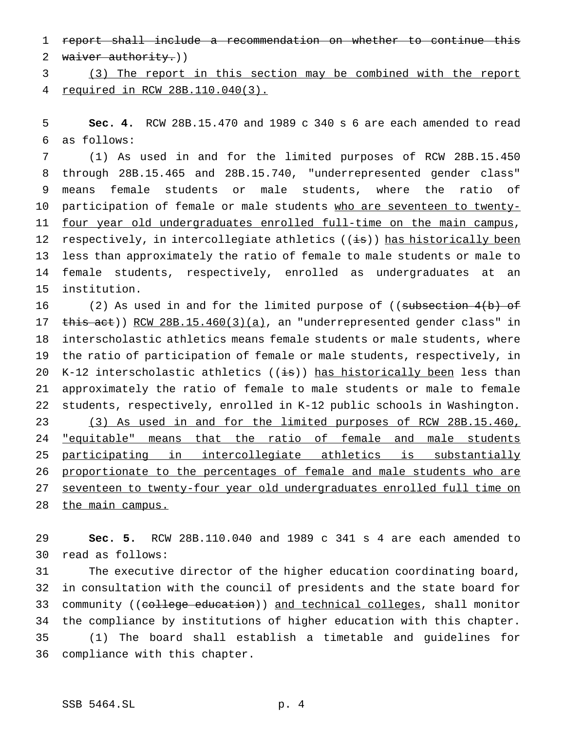report shall include a recommendation on whether to continue this 2 waiver authority.))

 (3) The report in this section may be combined with the report required in RCW 28B.110.040(3).

 **Sec. 4.** RCW 28B.15.470 and 1989 c 340 s 6 are each amended to read as follows:

 (1) As used in and for the limited purposes of RCW 28B.15.450 through 28B.15.465 and 28B.15.740, "underrepresented gender class" means female students or male students, where the ratio of 10 participation of female or male students who are seventeen to twenty-11 four year old undergraduates enrolled full-time on the main campus, 12 respectively, in intercollegiate athletics  $((i\cdot s))$  has historically been less than approximately the ratio of female to male students or male to female students, respectively, enrolled as undergraduates at an institution.

16 (2) As used in and for the limited purpose of ((subsection 4(b) of 17 this act)) RCW 28B.15.460(3)(a), an "underrepresented gender class" in interscholastic athletics means female students or male students, where the ratio of participation of female or male students, respectively, in 20 K-12 interscholastic athletics  $((\frac{1}{18}))$  has historically been less than approximately the ratio of female to male students or male to female students, respectively, enrolled in K-12 public schools in Washington. (3) As used in and for the limited purposes of RCW 28B.15.460, 24 "equitable" means that the ratio of female and male students participating in intercollegiate athletics is substantially proportionate to the percentages of female and male students who are seventeen to twenty-four year old undergraduates enrolled full time on 28 the main campus.

 **Sec. 5.** RCW 28B.110.040 and 1989 c 341 s 4 are each amended to read as follows:

 The executive director of the higher education coordinating board, in consultation with the council of presidents and the state board for 33 community ((college education)) and technical colleges, shall monitor the compliance by institutions of higher education with this chapter. (1) The board shall establish a timetable and guidelines for compliance with this chapter.